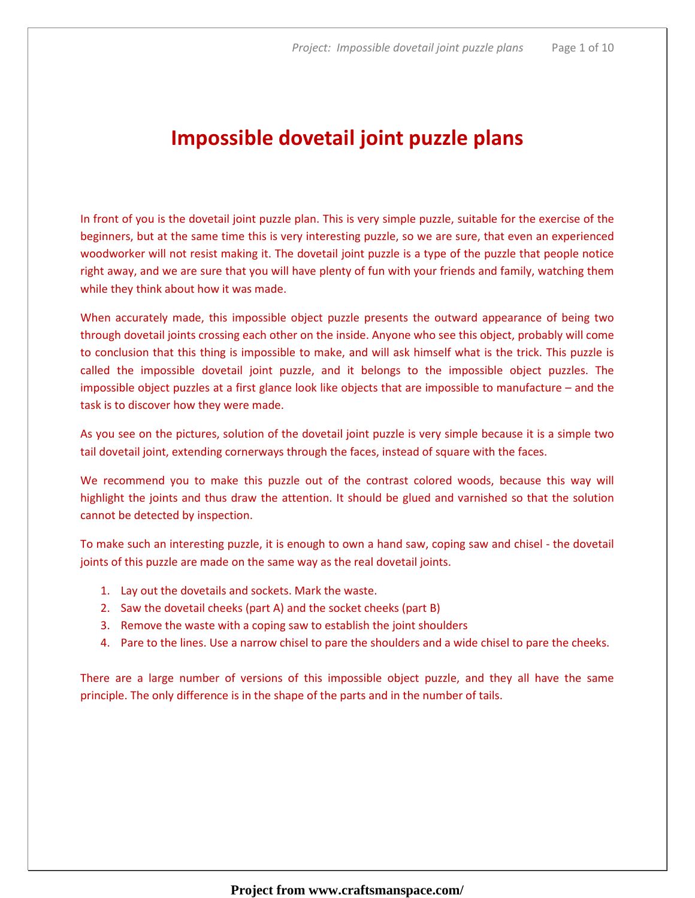# Impossible dovetail joint puzzle plans

In front of you is the dovetail joint puzzle plan. This is very simple puzzle, suitable for the exercise of the beginners, but at the same time this is very interesting puzzle, so we are sure, that even an experienced woodworker will not resist making it. The dovetail joint puzzle is a type of the puzzle that people notice right away, and we are sure that you will have plenty of fun with your friends and family, watching them while they think about how it was made.

When accurately made, this impossible object puzzle presents the outward appearance of being two through dovetail joints crossing each other on the inside. Anyone who see this object, probably will come to conclusion that this thing is impossible to make, and will ask himself what is the trick. This puzzle is called the impossible dovetail joint puzzle, and it belongs to the impossible object puzzles. The impossible object puzzles at a first glance look like objects that are impossible to manufacture – and the task is to discover how they were made.

As you see on the pictures, solution of the dovetail joint puzzle is very simple because it is a simple two tail dovetail joint, extending cornerways through the faces, instead of square with the faces.

We recommend you to make this puzzle out of the contrast colored woods, because this way will highlight the joints and thus draw the attention. It should be glued and varnished so that the solution cannot be detected by inspection.

To make such an interesting puzzle, it is enough to own a hand saw, coping saw and chisel - the dovetail joints of this puzzle are made on the same way as the real dovetail joints.

- 1. Lay out the dovetails and sockets. Mark the waste.
- 2. Saw the dovetail cheeks (part A) and the socket cheeks (part B)
- 3. Remove the waste with a coping saw to establish the joint shoulders
- 4. Pare to the lines. Use a narrow chisel to pare the shoulders and a wide chisel to pare the cheeks.

There are a large number of versions of this impossible object puzzle, and they all have the same principle. The only difference is in the shape of the parts and in the number of tails.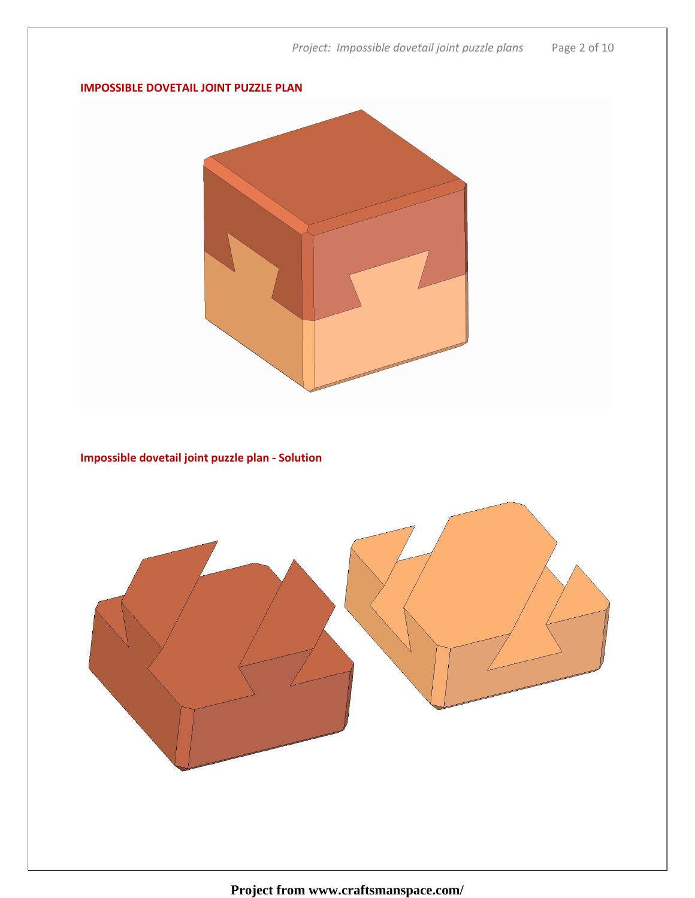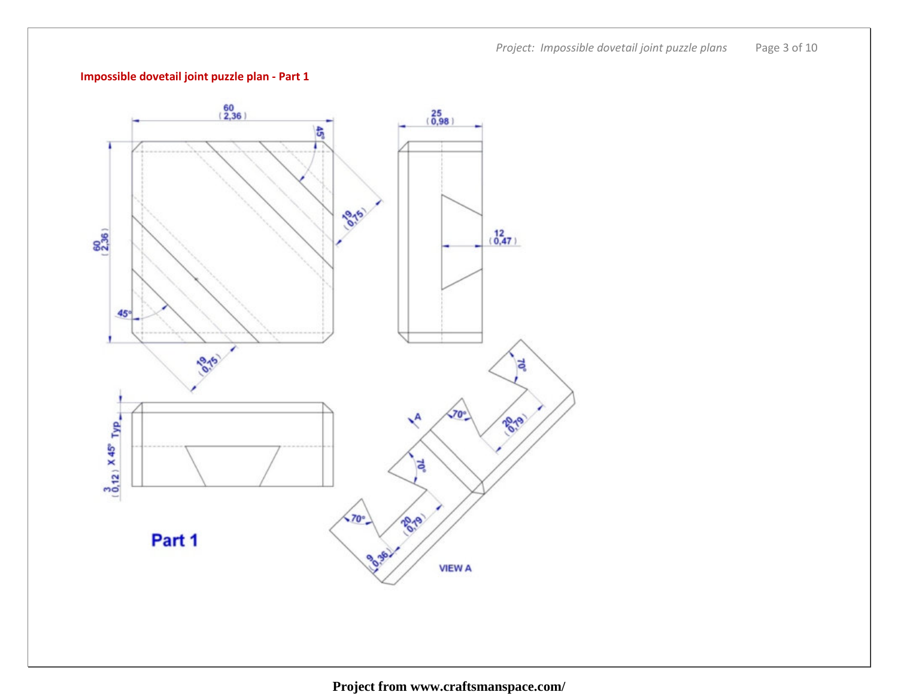Project: Impossible dovetail joint puzzle plans Page 3 of 10

# Impossible dovetail joint puzzle plan - Part 1

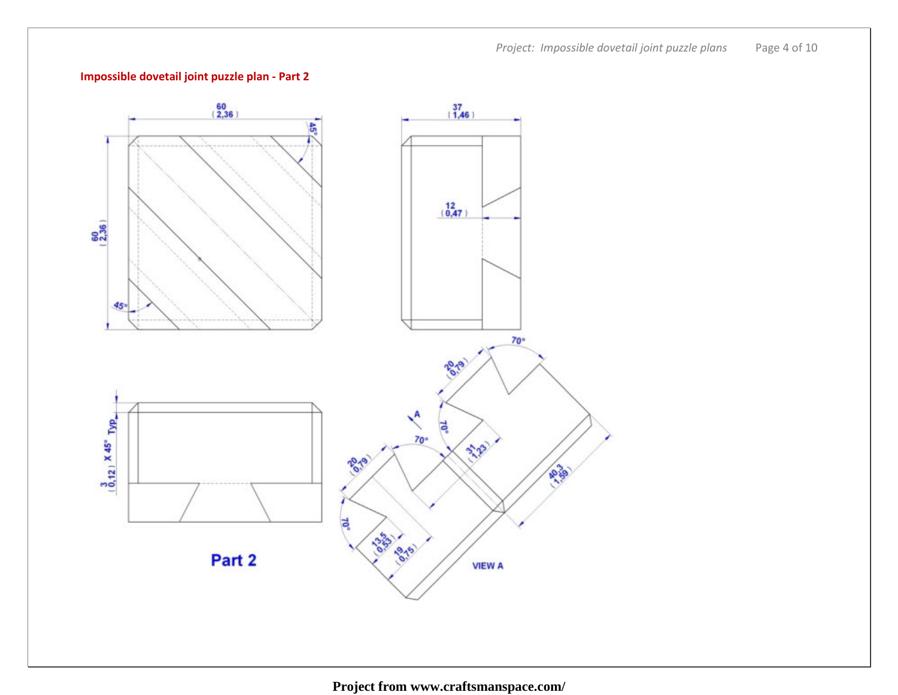Project: Impossible dovetail joint puzzle plans Page 4 of 10

# Impossible dovetail joint puzzle plan - Part 2

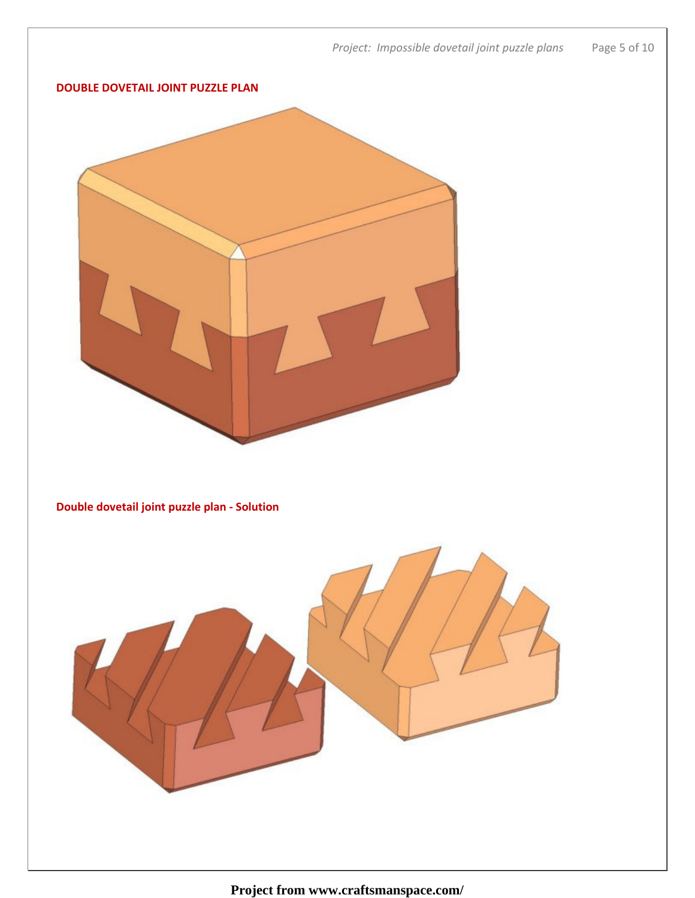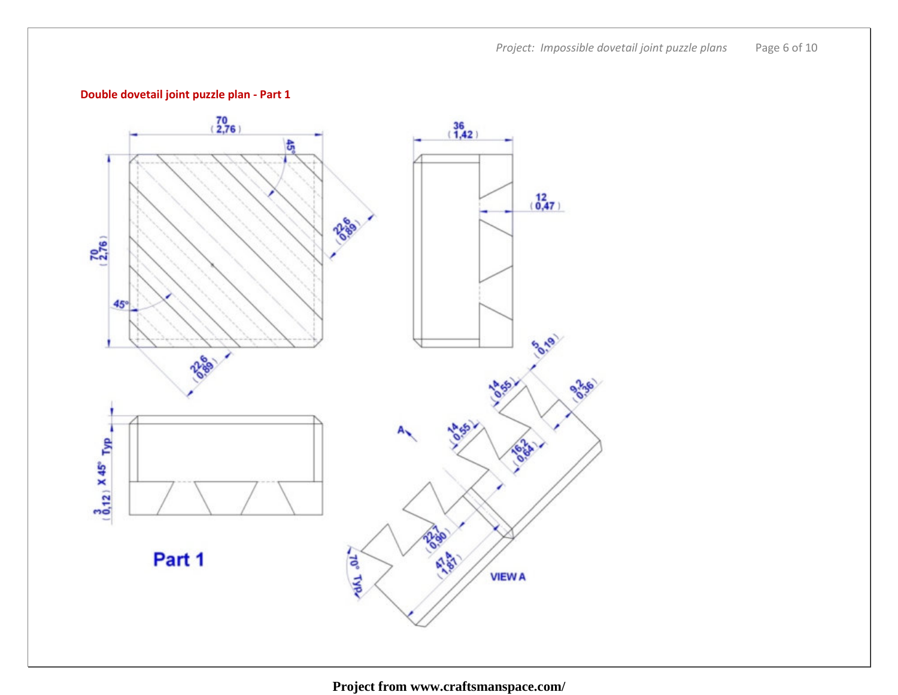Project: Impossible dovetail joint puzzle plans Page 6 of 10

# Double dovetail joint puzzle plan - Part 1

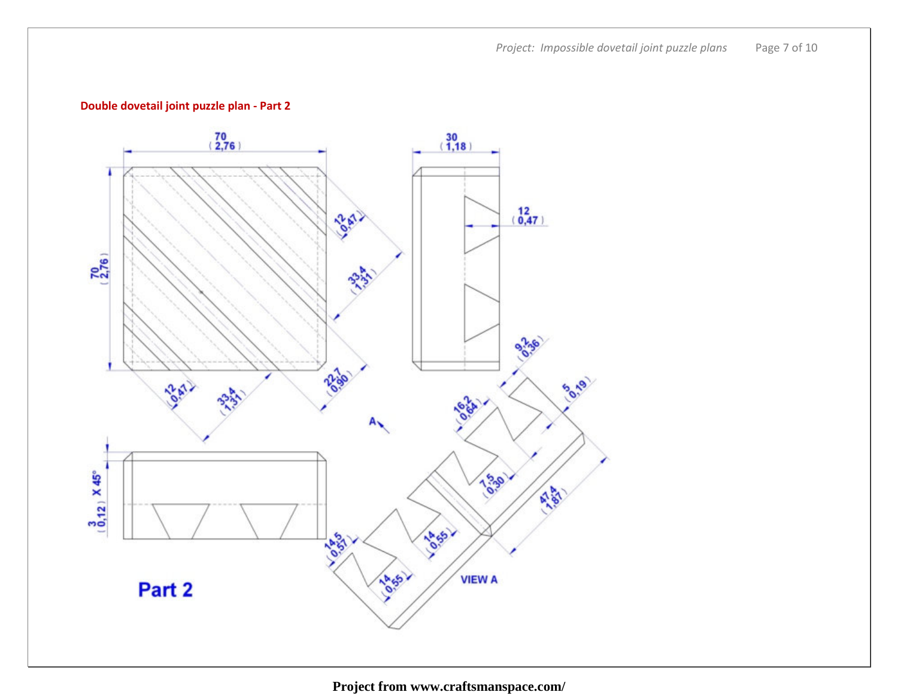Project: Impossible dovetail joint puzzle plans Page 7 of 10

# Double dovetail joint puzzle plan - Part 2

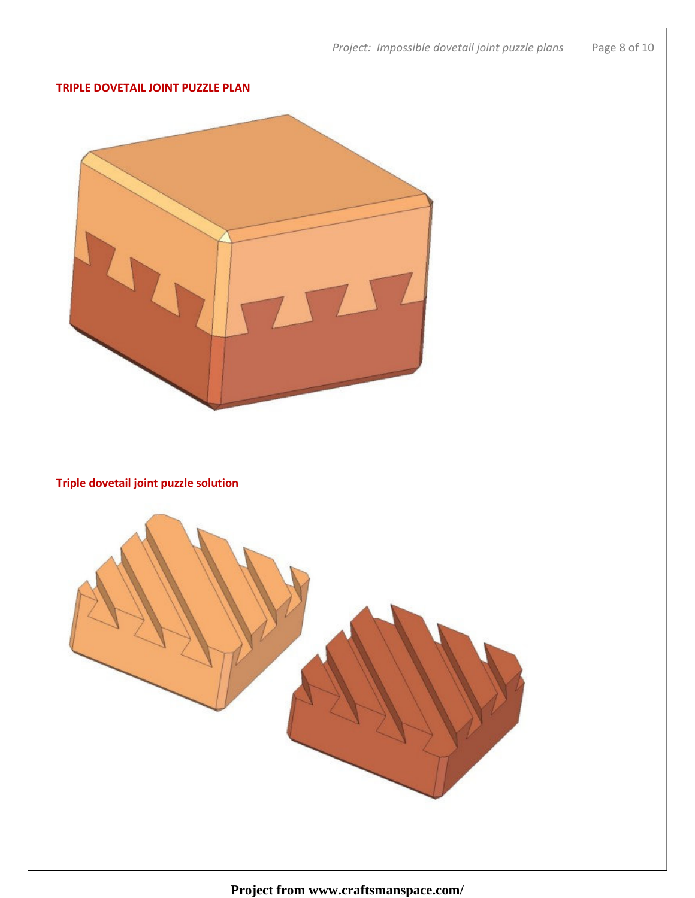

#### TRIPLE DOVETAIL JOINT PUZZLE PLAN



Triple dovetail joint puzzle solution

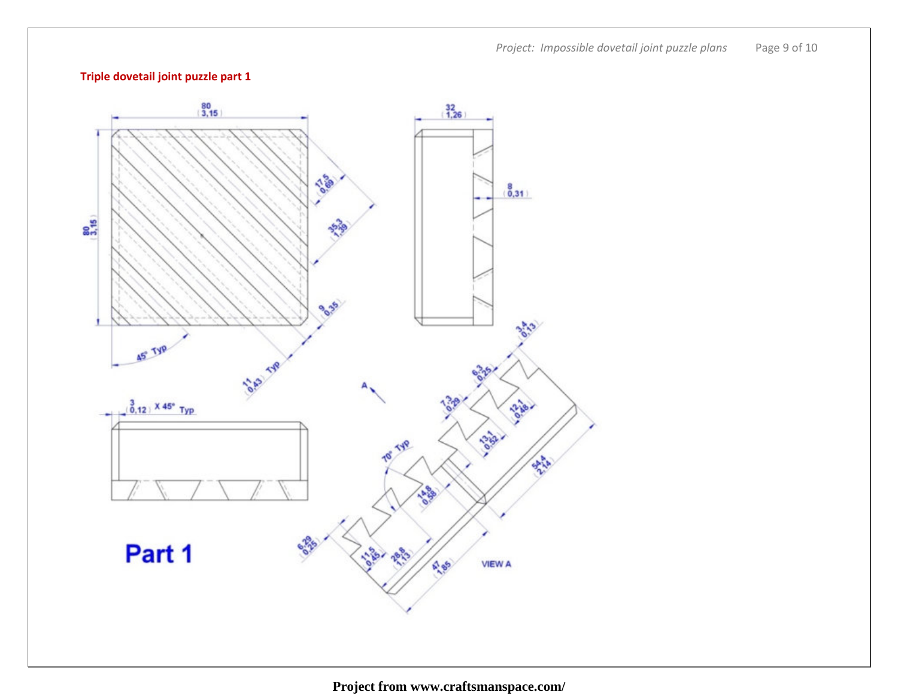Project: Impossible dovetail joint puzzle plans Page 9 of 10

# Triple dovetail joint puzzle part 1